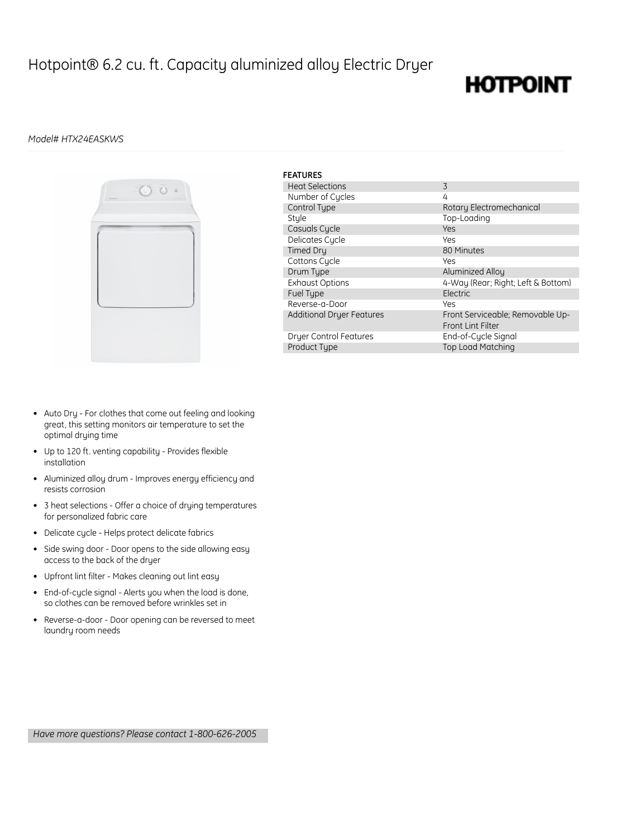### Hotpoint® 6.2 cu. ft. Capacity aluminized alloy Electric Dryer

## **HOTPOINT**

### *Model# HTX24EASKWS*



| <b>FEATURES</b>                  |                                    |
|----------------------------------|------------------------------------|
| <b>Heat Selections</b>           | 3                                  |
| Number of Cucles                 | 4                                  |
| Control Type                     | Rotary Electromechanical           |
| Stule                            | Top-Loading                        |
| Casuals Cycle                    | Yes                                |
| Delicates Cycle                  | Yes                                |
| <b>Timed Dru</b>                 | 80 Minutes                         |
| Cottons Cycle                    | Yes                                |
| Drum Type                        | Aluminized Alloy                   |
| <b>Exhaust Options</b>           | 4-Way (Rear; Right; Left & Bottom) |
| Fuel Type                        | Electric                           |
| Reverse-a-Door                   | Yes                                |
| <b>Additional Dryer Features</b> | Front Serviceable; Removable Up-   |
|                                  | <b>Front Lint Filter</b>           |
| <b>Dryer Control Features</b>    | End-of-Cycle Signal                |
| Product Type                     | <b>Top Load Matching</b>           |

- Auto Dry For clothes that come out feeling and looking great, this setting monitors air temperature to set the optimal drying time
- Up to 120 ft. venting capability Provides flexible installation
- Aluminized alloy drum Improves energy efficiency and resists corrosion
- 3 heat selections Offer a choice of drying temperatures for personalized fabric care
- Delicate cycle Helps protect delicate fabrics
- Side swing door Door opens to the side allowing easy access to the back of the dryer
- Upfront lint filter Makes cleaning out lint easy
- End-of-cycle signal Alerts you when the load is done, so clothes can be removed before wrinkles set in
- Reverse-a-door Door opening can be reversed to meet laundry room needs

*Have more questions? Please contact 1-800-626-2005*